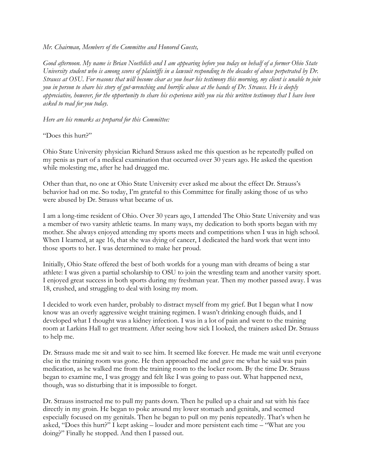*Mr. Chairman, Members of the Committee and Honored Guests,*

*Good afternoon. My name is Brian Noethlich and I am appearing before you today on behalf of a former Ohio State University student who is among scores of plaintiffs in a lawsuit responding to the decades of abuse perpetrated by Dr. Strauss at OSU. For reasons that will become clear as you hear his testimony this morning, my client is unable to join you in person to share his story of gut-wrenching and horrific abuse at the hands of Dr. Strauss. He is deeply appreciative, however, for the opportunity to share his experience with you via this written testimony that I have been asked to read for you today.*

*Here are his remarks as prepared for this Committee:*

"Does this hurt?"

Ohio State University physician Richard Strauss asked me this question as he repeatedly pulled on my penis as part of a medical examination that occurred over 30 years ago. He asked the question while molesting me, after he had drugged me.

Other than that, no one at Ohio State University ever asked me about the effect Dr. Strauss's behavior had on me. So today, I'm grateful to this Committee for finally asking those of us who were abused by Dr. Strauss what became of us.

I am a long-time resident of Ohio. Over 30 years ago, I attended The Ohio State University and was a member of two varsity athletic teams. In many ways, my dedication to both sports began with my mother. She always enjoyed attending my sports meets and competitions when I was in high school. When I learned, at age 16, that she was dying of cancer, I dedicated the hard work that went into those sports to her. I was determined to make her proud.

Initially, Ohio State offered the best of both worlds for a young man with dreams of being a star athlete: I was given a partial scholarship to OSU to join the wrestling team and another varsity sport. I enjoyed great success in both sports during my freshman year. Then my mother passed away. I was 18, crushed, and struggling to deal with losing my mom.

I decided to work even harder, probably to distract myself from my grief. But I began what I now know was an overly aggressive weight training regimen. I wasn't drinking enough fluids, and I developed what I thought was a kidney infection. I was in a lot of pain and went to the training room at Larkins Hall to get treatment. After seeing how sick I looked, the trainers asked Dr. Strauss to help me.

Dr. Strauss made me sit and wait to see him. It seemed like forever. He made me wait until everyone else in the training room was gone. He then approached me and gave me what he said was pain medication, as he walked me from the training room to the locker room. By the time Dr. Strauss began to examine me, I was groggy and felt like I was going to pass out. What happened next, though, was so disturbing that it is impossible to forget.

Dr. Strauss instructed me to pull my pants down. Then he pulled up a chair and sat with his face directly in my groin. He began to poke around my lower stomach and genitals, and seemed especially focused on my genitals. Then he began to pull on my penis repeatedly. That's when he asked, "Does this hurt?" I kept asking – louder and more persistent each time – "What are you doing?" Finally he stopped. And then I passed out.